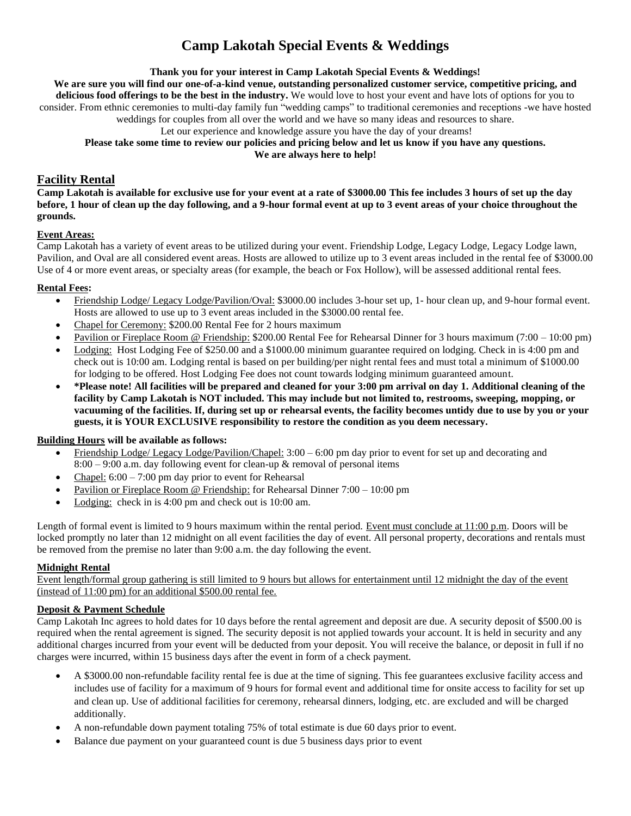# **Camp Lakotah Special Events & Weddings**

**Thank you for your interest in Camp Lakotah Special Events & Weddings!**

**We are sure you will find our one-of-a-kind venue, outstanding personalized customer service, competitive pricing, and** 

**delicious food offerings to be the best in the industry.** We would love to host your event and have lots of options for you to consider. From ethnic ceremonies to multi-day family fun "wedding camps" to traditional ceremonies and receptions -we have hosted weddings for couples from all over the world and we have so many ideas and resources to share.

Let our experience and knowledge assure you have the day of your dreams!

**Please take some time to review our policies and pricing below and let us know if you have any questions.** 

**We are always here to help!**

# **Facility Rental**

**Camp Lakotah is available for exclusive use for your event at a rate of \$3000.00 This fee includes 3 hours of set up the day before, 1 hour of clean up the day following, and a 9-hour formal event at up to 3 event areas of your choice throughout the grounds.**

# **Event Areas:**

Camp Lakotah has a variety of event areas to be utilized during your event. Friendship Lodge, Legacy Lodge, Legacy Lodge lawn, Pavilion, and Oval are all considered event areas. Hosts are allowed to utilize up to 3 event areas included in the rental fee of \$3000.00 Use of 4 or more event areas, or specialty areas (for example, the beach or Fox Hollow), will be assessed additional rental fees.

# **Rental Fees:**

- Friendship Lodge/ Legacy Lodge/Pavilion/Oval: \$3000.00 includes 3-hour set up, 1- hour clean up, and 9-hour formal event. Hosts are allowed to use up to 3 event areas included in the \$3000.00 rental fee.
- Chapel for Ceremony: \$200.00 Rental Fee for 2 hours maximum
- Pavilion or Fireplace Room @ Friendship: \$200.00 Rental Fee for Rehearsal Dinner for 3 hours maximum (7:00 10:00 pm)
- Lodging: Host Lodging Fee of \$250.00 and a \$1000.00 minimum guarantee required on lodging. Check in is 4:00 pm and check out is 10:00 am. Lodging rental is based on per building/per night rental fees and must total a minimum of \$1000.00 for lodging to be offered. Host Lodging Fee does not count towards lodging minimum guaranteed amount.
- **\*Please note! All facilities will be prepared and cleaned for your 3:00 pm arrival on day 1. Additional cleaning of the facility by Camp Lakotah is NOT included. This may include but not limited to, restrooms, sweeping, mopping, or vacuuming of the facilities. If, during set up or rehearsal events, the facility becomes untidy due to use by you or your guests, it is YOUR EXCLUSIVE responsibility to restore the condition as you deem necessary.**

# **Building Hours will be available as follows:**

- Friendship Lodge/ Legacy Lodge/Pavilion/Chapel: 3:00 6:00 pm day prior to event for set up and decorating and  $8:00 - 9:00$  a.m. day following event for clean-up  $\&$  removal of personal items
- Chapel:  $6:00 7:00$  pm day prior to event for Rehearsal
- Pavilion or Fireplace Room @ Friendship: for Rehearsal Dinner 7:00 10:00 pm
- Lodging: check in is 4:00 pm and check out is 10:00 am.

Length of formal event is limited to 9 hours maximum within the rental period. Event must conclude at 11:00 p.m. Doors will be locked promptly no later than 12 midnight on all event facilities the day of event. All personal property, decorations and rentals must be removed from the premise no later than 9:00 a.m. the day following the event.

# **Midnight Rental**

Event length/formal group gathering is still limited to 9 hours but allows for entertainment until 12 midnight the day of the event (instead of 11:00 pm) for an additional \$500.00 rental fee.

# **Deposit & Payment Schedule**

Camp Lakotah Inc agrees to hold dates for 10 days before the rental agreement and deposit are due. A security deposit of \$500.00 is required when the rental agreement is signed. The security deposit is not applied towards your account. It is held in security and any additional charges incurred from your event will be deducted from your deposit. You will receive the balance, or deposit in full if no charges were incurred, within 15 business days after the event in form of a check payment.

- A \$3000.00 non-refundable facility rental fee is due at the time of signing. This fee guarantees exclusive facility access and includes use of facility for a maximum of 9 hours for formal event and additional time for onsite access to facility for set up and clean up. Use of additional facilities for ceremony, rehearsal dinners, lodging, etc. are excluded and will be charged additionally.
- A non-refundable down payment totaling 75% of total estimate is due 60 days prior to event.
- Balance due payment on your guaranteed count is due 5 business days prior to event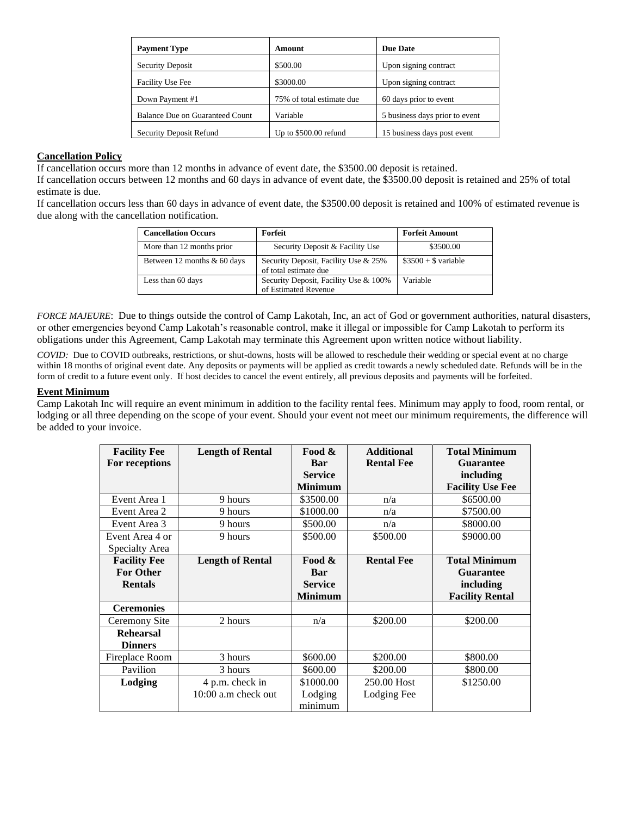| <b>Payment Type</b>             | Amount                    | Due Date                       |
|---------------------------------|---------------------------|--------------------------------|
| <b>Security Deposit</b>         | \$500.00                  | Upon signing contract          |
| Facility Use Fee                | \$3000.00                 | Upon signing contract          |
| Down Payment #1                 | 75% of total estimate due | 60 days prior to event         |
| Balance Due on Guaranteed Count | Variable                  | 5 business days prior to event |
| Security Deposit Refund         | Up to $$500.00$ refund    | 15 business days post event    |

#### **Cancellation Policy**

If cancellation occurs more than 12 months in advance of event date, the \$3500.00 deposit is retained.

If cancellation occurs between 12 months and 60 days in advance of event date, the \$3500.00 deposit is retained and 25% of total estimate is due.

If cancellation occurs less than 60 days in advance of event date, the \$3500.00 deposit is retained and 100% of estimated revenue is due along with the cancellation notification.

| <b>Cancellation Occurs</b>  | Forfeit                                                       | <b>Forfeit Amount</b>  |
|-----------------------------|---------------------------------------------------------------|------------------------|
| More than 12 months prior   | Security Deposit & Facility Use                               | \$3500.00              |
| Between 12 months & 60 days | Security Deposit, Facility Use & 25%<br>of total estimate due | $\$3500 + \$$ variable |
| Less than 60 days           | Security Deposit, Facility Use & 100%<br>of Estimated Revenue | Variable               |

*FORCE MAJEURE*: Due to things outside the control of Camp Lakotah, Inc, an act of God or government authorities, natural disasters, or other emergencies beyond Camp Lakotah's reasonable control, make it illegal or impossible for Camp Lakotah to perform its obligations under this Agreement, Camp Lakotah may terminate this Agreement upon written notice without liability.

*COVID:*Due to COVID outbreaks, restrictions, or shut-downs, hosts will be allowed to reschedule their wedding or special event at no charge within 18 months of original event date. Any deposits or payments will be applied as credit towards a newly scheduled date. Refunds will be in the form of credit to a future event only. If host decides to cancel the event entirely, all previous deposits and payments will be forfeited.

#### **Event Minimum**

Camp Lakotah Inc will require an event minimum in addition to the facility rental fees. Minimum may apply to food, room rental, or lodging or all three depending on the scope of your event. Should your event not meet our minimum requirements, the difference will be added to your invoice.

| <b>Facility Fee</b> | <b>Length of Rental</b> | Food &         | <b>Additional</b> | <b>Total Minimum</b>    |
|---------------------|-------------------------|----------------|-------------------|-------------------------|
| For receptions      |                         | Bar            | <b>Rental Fee</b> | <b>Guarantee</b>        |
|                     |                         | <b>Service</b> |                   | including               |
|                     |                         | <b>Minimum</b> |                   | <b>Facility Use Fee</b> |
| Event Area 1        | 9 hours                 | \$3500.00      | n/a               | \$6500.00               |
| Event Area 2        | 9 hours                 | \$1000.00      | n/a               | \$7500.00               |
| Event Area 3        | 9 hours                 | \$500.00       | n/a               | \$8000.00               |
| Event Area 4 or     | 9 hours                 | \$500.00       | \$500.00          | \$9000.00               |
| Specialty Area      |                         |                |                   |                         |
| <b>Facility Fee</b> | <b>Length of Rental</b> | Food &         | <b>Rental Fee</b> | <b>Total Minimum</b>    |
| <b>For Other</b>    |                         | Bar            |                   | <b>Guarantee</b>        |
| <b>Rentals</b>      |                         | <b>Service</b> |                   | including               |
|                     |                         | <b>Minimum</b> |                   | <b>Facility Rental</b>  |
| <b>Ceremonies</b>   |                         |                |                   |                         |
| Ceremony Site       | 2 hours                 | n/a            | \$200.00          | \$200.00                |
| <b>Rehearsal</b>    |                         |                |                   |                         |
| <b>Dinners</b>      |                         |                |                   |                         |
| Fireplace Room      | 3 hours                 | \$600.00       | \$200.00          | \$800.00                |
| Pavilion            | 3 hours                 | \$600.00       | \$200.00          | \$800.00                |
| Lodging             | 4 p.m. check in         | \$1000.00      | 250.00 Host       | \$1250.00               |
|                     | 10:00 a.m check out     | Lodging        | Lodging Fee       |                         |
|                     |                         | minimum        |                   |                         |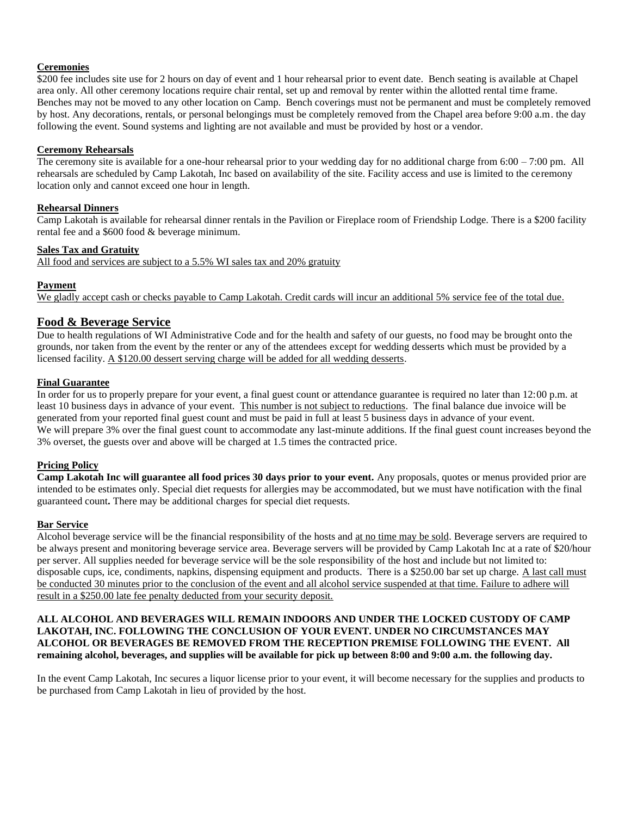#### **Ceremonies**

\$200 fee includes site use for 2 hours on day of event and 1 hour rehearsal prior to event date. Bench seating is available at Chapel area only. All other ceremony locations require chair rental, set up and removal by renter within the allotted rental time frame. Benches may not be moved to any other location on Camp. Bench coverings must not be permanent and must be completely removed by host. Any decorations, rentals, or personal belongings must be completely removed from the Chapel area before 9:00 a.m. the day following the event. Sound systems and lighting are not available and must be provided by host or a vendor.

#### **Ceremony Rehearsals**

The ceremony site is available for a one-hour rehearsal prior to your wedding day for no additional charge from 6:00 – 7:00 pm. All rehearsals are scheduled by Camp Lakotah, Inc based on availability of the site. Facility access and use is limited to the ceremony location only and cannot exceed one hour in length.

# **Rehearsal Dinners**

Camp Lakotah is available for rehearsal dinner rentals in the Pavilion or Fireplace room of Friendship Lodge. There is a \$200 facility rental fee and a \$600 food & beverage minimum.

# **Sales Tax and Gratuity**

All food and services are subject to a 5.5% WI sales tax and 20% gratuity

# **Payment**

We gladly accept cash or checks payable to Camp Lakotah. Credit cards will incur an additional 5% service fee of the total due.

# **Food & Beverage Service**

Due to health regulations of WI Administrative Code and for the health and safety of our guests, no food may be brought onto the grounds, nor taken from the event by the renter or any of the attendees except for wedding desserts which must be provided by a licensed facility. A \$120.00 dessert serving charge will be added for all wedding desserts.

# **Final Guarantee**

In order for us to properly prepare for your event, a final guest count or attendance guarantee is required no later than 12:00 p.m. at least 10 business days in advance of your event. This number is not subject to reductions. The final balance due invoice will be generated from your reported final guest count and must be paid in full at least 5 business days in advance of your event. We will prepare 3% over the final guest count to accommodate any last-minute additions. If the final guest count increases beyond the 3% overset, the guests over and above will be charged at 1.5 times the contracted price.

#### **Pricing Policy**

**Camp Lakotah Inc will guarantee all food prices 30 days prior to your event.** Any proposals, quotes or menus provided prior are intended to be estimates only. Special diet requests for allergies may be accommodated, but we must have notification with the final guaranteed count**.** There may be additional charges for special diet requests.

#### **Bar Service**

Alcohol beverage service will be the financial responsibility of the hosts and at no time may be sold. Beverage servers are required to be always present and monitoring beverage service area. Beverage servers will be provided by Camp Lakotah Inc at a rate of \$20/hour per server. All supplies needed for beverage service will be the sole responsibility of the host and include but not limited to: disposable cups, ice, condiments, napkins, dispensing equipment and products. There is a \$250.00 bar set up charge. A last call must be conducted 30 minutes prior to the conclusion of the event and all alcohol service suspended at that time. Failure to adhere will result in a \$250.00 late fee penalty deducted from your security deposit.

#### **ALL ALCOHOL AND BEVERAGES WILL REMAIN INDOORS AND UNDER THE LOCKED CUSTODY OF CAMP LAKOTAH, INC. FOLLOWING THE CONCLUSION OF YOUR EVENT. UNDER NO CIRCUMSTANCES MAY ALCOHOL OR BEVERAGES BE REMOVED FROM THE RECEPTION PREMISE FOLLOWING THE EVENT. All remaining alcohol, beverages, and supplies will be available for pick up between 8:00 and 9:00 a.m. the following day.**

In the event Camp Lakotah, Inc secures a liquor license prior to your event, it will become necessary for the supplies and products to be purchased from Camp Lakotah in lieu of provided by the host.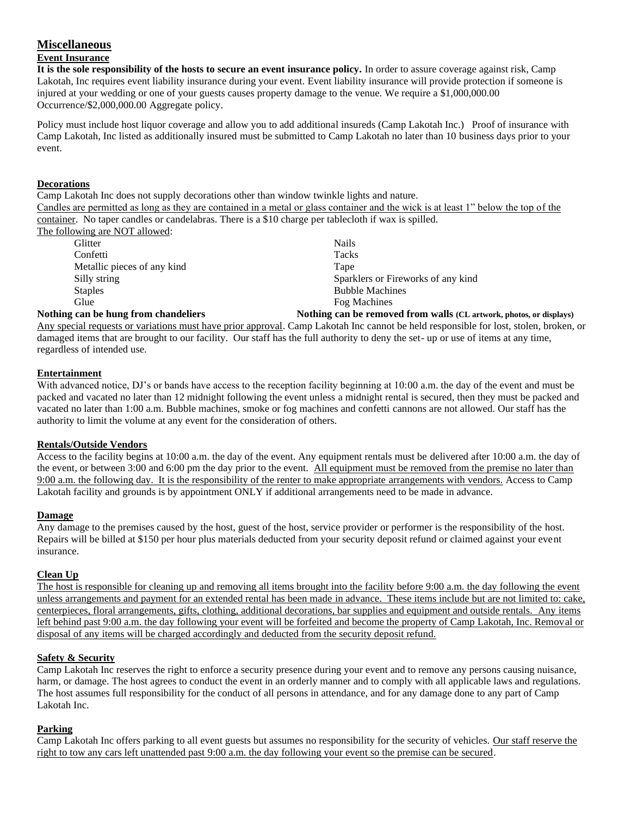# **Miscellaneous**

# **Event Insurance**

**It is the sole responsibility of the hosts to secure an event insurance policy.** In order to assure coverage against risk, Camp Lakotah, Inc requires event liability insurance during your event. Event liability insurance will provide protection if someone is injured at your wedding or one of your guests causes property damage to the venue. We require a \$1,000,000.00 Occurrence/\$2,000,000.00 Aggregate policy.

Policy must include host liquor coverage and allow you to add additional insureds (Camp Lakotah Inc.) Proof of insurance with Camp Lakotah, Inc listed as additionally insured must be submitted to Camp Lakotah no later than 10 business days prior to your event.

#### **Decorations**

Camp Lakotah Inc does not supply decorations other than window twinkle lights and nature. Candles are permitted as long as they are contained in a metal or glass container and the wick is at least 1" below the top of the container. No taper candles or candelabras. There is a \$10 charge per tablecloth if wax is spilled. The following are NOT allowed:

| Glitter                     | <b>Nails</b>                       |
|-----------------------------|------------------------------------|
| Confetti                    | Tacks                              |
| Metallic pieces of any kind | Tape                               |
| Silly string                | Sparklers or Fireworks of any kind |
| <b>Staples</b>              | <b>Bubble Machines</b>             |
| Glue                        | Fog Machines                       |
| $\blacksquare$              | мин н не назадни                   |

# **Nothing can be hung from chandeliers Nothing can be removed from walls (CL artwork, photos, or displays)**

Any special requests or variations must have prior approval. Camp Lakotah Inc cannot be held responsible for lost, stolen, broken, or damaged items that are brought to our facility. Our staff has the full authority to deny the set- up or use of items at any time, regardless of intended use.

# **Entertainment**

With advanced notice, DJ's or bands have access to the reception facility beginning at 10:00 a.m. the day of the event and must be packed and vacated no later than 12 midnight following the event unless a midnight rental is secured, then they must be packed and vacated no later than 1:00 a.m. Bubble machines, smoke or fog machines and confetti cannons are not allowed. Our staff has the authority to limit the volume at any event for the consideration of others.

#### **Rentals/Outside Vendors**

Access to the facility begins at 10:00 a.m. the day of the event. Any equipment rentals must be delivered after 10:00 a.m. the day of the event, or between 3:00 and 6:00 pm the day prior to the event. All equipment must be removed from the premise no later than 9:00 a.m. the following day. It is the responsibility of the renter to make appropriate arrangements with vendors. Access to Camp Lakotah facility and grounds is by appointment ONLY if additional arrangements need to be made in advance.

#### **Damage**

Any damage to the premises caused by the host, guest of the host, service provider or performer is the responsibility of the host. Repairs will be billed at \$150 per hour plus materials deducted from your security deposit refund or claimed against your event insurance.

#### **Clean Up**

The host is responsible for cleaning up and removing all items brought into the facility before 9:00 a.m. the day following the event unless arrangements and payment for an extended rental has been made in advance. These items include but are not limited to: cake, centerpieces, floral arrangements, gifts, clothing, additional decorations, bar supplies and equipment and outside rentals. Any items left behind past 9:00 a.m. the day following your event will be forfeited and become the property of Camp Lakotah, Inc. Removal or disposal of any items will be charged accordingly and deducted from the security deposit refund.

#### **Safety & Security**

Camp Lakotah Inc reserves the right to enforce a security presence during your event and to remove any persons causing nuisance, harm, or damage. The host agrees to conduct the event in an orderly manner and to comply with all applicable laws and regulations. The host assumes full responsibility for the conduct of all persons in attendance, and for any damage done to any part of Camp Lakotah Inc.

#### **Parking**

Camp Lakotah Inc offers parking to all event guests but assumes no responsibility for the security of vehicles. Our staff reserve the right to tow any cars left unattended past 9:00 a.m. the day following your event so the premise can be secured.